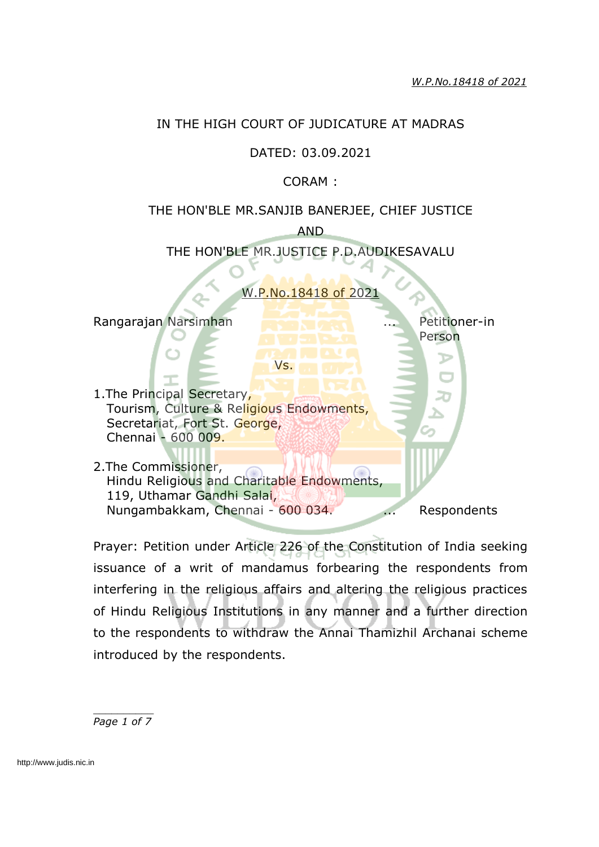#### IN THE HIGH COURT OF JUDICATURE AT MADRAS

## DATED: 03.09.2021

## CORAM :

## THE HON'BLE MR.SANJIB BANERJEE, CHIEF JUSTICE

AND THE HON'BLE MR.JUSTICE P.D.AUDIKESAVALU

P.No.18418 of 20

Vs.

Rangarajan Narsimhan **... Petitioner-in** 

1. The Principal Secretary, Tourism, Culture & Religious Endowments, Secretariat, Fort St. George, Chennai - 600 009.

2.The Commissioner, Hindu Religious and Charitable Endowments, 119, Uthamar Gandhi Salai, Nungambakkam, Chennai - 600 034. ... Respondents

Person

Prayer: Petition under Article 226 of the Constitution of India seeking issuance of a writ of mandamus forbearing the respondents from interfering in the religious affairs and altering the religious practices of Hindu Religious Institutions in any manner and a further direction to the respondents to withdraw the Annai Thamizhil Archanai scheme introduced by the respondents.

*\_\_\_\_\_\_\_\_\_\_ Page 1 of 7*

http://www.judis.nic.in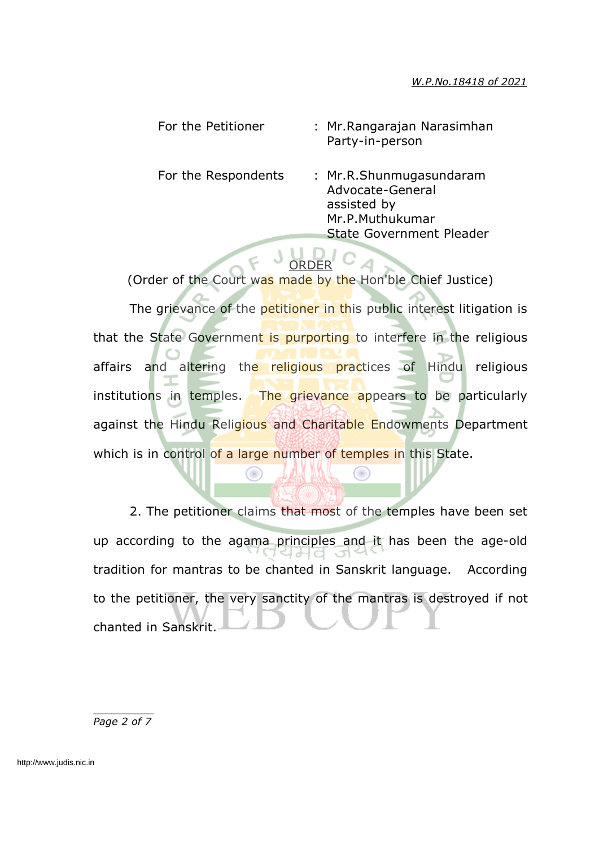#### *W.P.No.18418 of 2021*

| For the Petitioner  | : Mr. Rangarajan Narasimhan<br>Party-in-person                                                                   |
|---------------------|------------------------------------------------------------------------------------------------------------------|
| For the Respondents | : Mr.R.Shunmugasundaram<br>Advocate-General<br>assisted by<br>Mr.P.Muthukumar<br><b>State Government Pleader</b> |
|                     |                                                                                                                  |

# $F$  JUD/C4

(Order of the Court was made by the Hon'ble Chief Justice) The grievance of the petitioner in this public interest litigation is that the State Government is purporting to interfere in the religious affairs and altering the religious practices of Hindu religious institutions in temples. The grievance appears to be particularly against the Hindu Religious and Charitable Endowments Department which is in control of a large number of temples in this State.

2. The petitioner claims that most of the temples have been set up according to the agama principles and it has been the age-old Lak tradition for mantras to be chanted in Sanskrit language. According to the petitioner, the very sanctity of the mantras is destroyed if not chanted in Sanskrit.

œ

*\_\_\_\_\_\_\_\_\_\_ Page 2 of 7*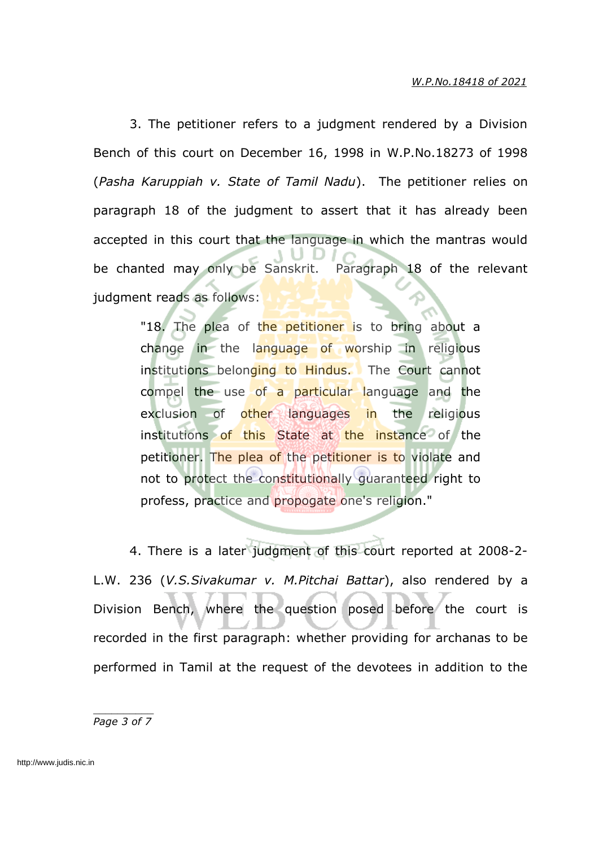3. The petitioner refers to a judgment rendered by a Division Bench of this court on December 16, 1998 in W.P.No.18273 of 1998 (*Pasha Karuppiah v. State of Tamil Nadu*). The petitioner relies on paragraph 18 of the judgment to assert that it has already been accepted in this court that the language in which the mantras would be chanted may only be Sanskrit. Paragraph 18 of the relevant judgment reads as follows:

> "18. The plea of the petitioner is to bring about a change in the language of worship in religious institutions belonging to Hindus. The Court cannot compel the use of a particular language and the exclusion of other languages in the religious institutions of this State at the instance of the petitioner. The plea of the petitioner is to violate and not to protect the constitutionally guaranteed right to profess, practice and propogate one's religion."

4. There is a later judgment of this court reported at 2008-2- L.W. 236 (*V.S.Sivakumar v. M.Pitchai Battar*), also rendered by a Division Bench, where the question posed before the court is recorded in the first paragraph: whether providing for archanas to be performed in Tamil at the request of the devotees in addition to the

*\_\_\_\_\_\_\_\_\_\_ Page 3 of 7*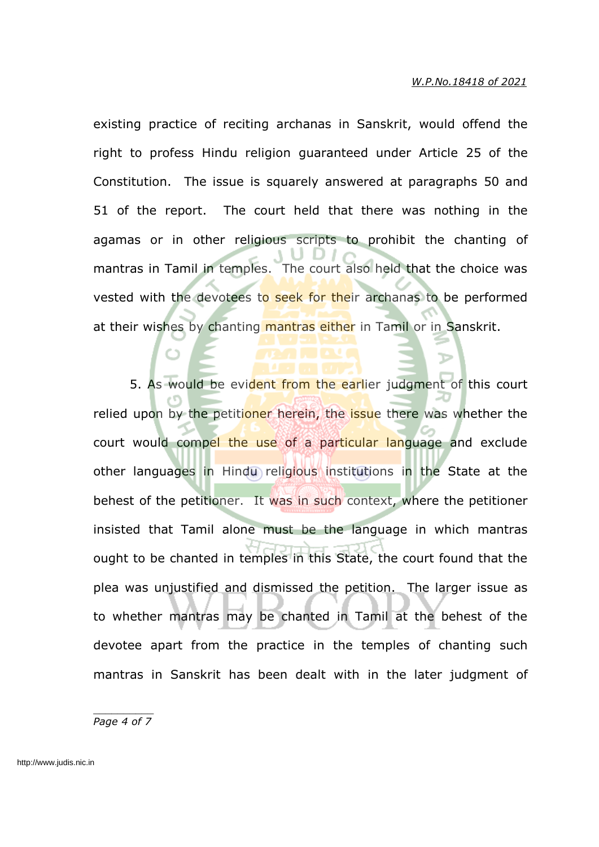existing practice of reciting archanas in Sanskrit, would offend the right to profess Hindu religion guaranteed under Article 25 of the Constitution. The issue is squarely answered at paragraphs 50 and 51 of the report. The court held that there was nothing in the agamas or in other religious scripts to prohibit the chanting of mantras in Tamil in temples. The court also held that the choice was vested with the devotees to seek for their archanas to be performed at their wishes by chanting mantras either in Tamil or in Sanskrit.

5. As would be evident from the earlier judgment of this court relied upon by the petitioner herein, the issue there was whether the court would compel the use of a particular language and exclude other languages in Hindu religious institutions in the State at the behest of the petitioner. It was in such context, where the petitioner insisted that Tamil alone must be the language in which mantras ought to be chanted in temples in this State, the court found that the plea was unjustified and dismissed the petition. The larger issue as to whether mantras may be chanted in Tamil at the behest of the devotee apart from the practice in the temples of chanting such mantras in Sanskrit has been dealt with in the later judgment of

*\_\_\_\_\_\_\_\_\_\_ Page 4 of 7*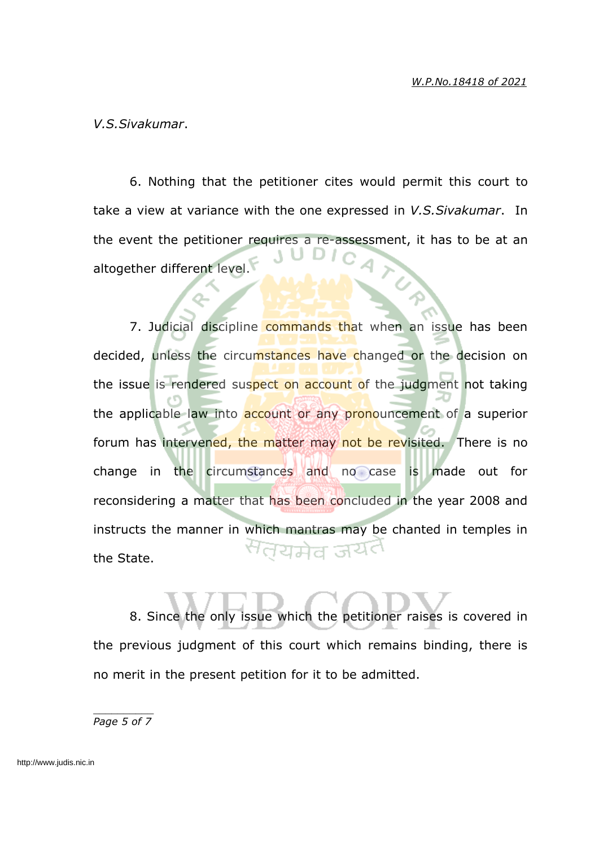*V.S.Sivakumar*.

6. Nothing that the petitioner cites would permit this court to take a view at variance with the one expressed in *V.S.Sivakumar*. In the event the petitioner requires a re-assessment, it has to be at an altogether different level.

7. Judicial discipline commands that when an issue has been decided, unless the circumstances have changed or the decision on the issue is rendered suspect on account of the judgment not taking the applicable law into account or any pronouncement of a superior forum has intervened, the matter may not be revisited. There is no change in the circumstances and no case is made out for reconsidering a matter that has been concluded in the year 2008 and instructs the manner in which mantras may be chanted in temples in the State.

8. Since the only issue which the petitioner raises is covered in the previous judgment of this court which remains binding, there is no merit in the present petition for it to be admitted.

*\_\_\_\_\_\_\_\_\_\_ Page 5 of 7*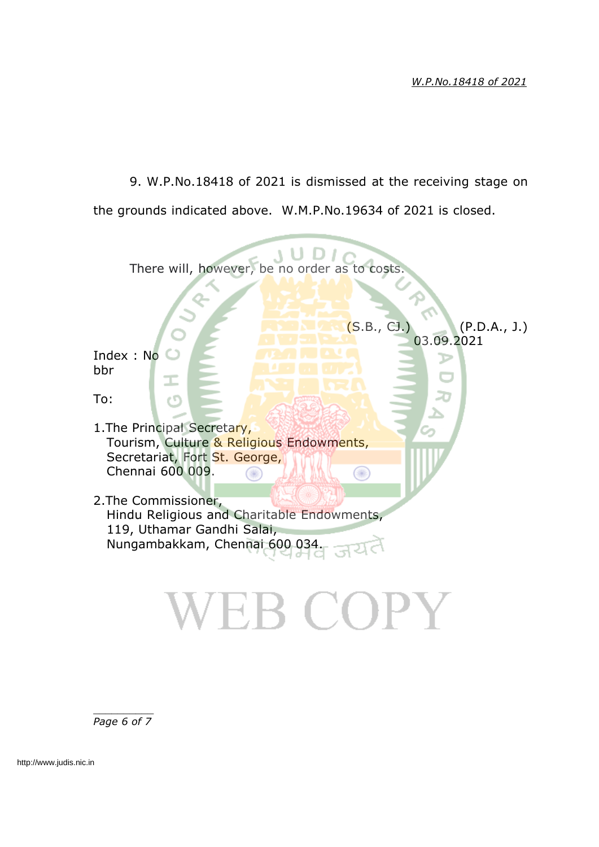9. W.P.No.18418 of 2021 is dismissed at the receiving stage on the grounds indicated above. W.M.P.No.19634 of 2021 is closed.

| There will, however, be no order as to costs.                                                                                      |
|------------------------------------------------------------------------------------------------------------------------------------|
| (S.B., CJ.)<br>(P.D.A., J.)                                                                                                        |
| 03.09.2021<br>Index: No<br>bbr                                                                                                     |
| To:<br>r٣                                                                                                                          |
| 1. The Principal Secretary,<br>Tourism, Culture & Religious Endowments,<br>Secretariat, Fort St. George,<br>Chennai 600 009.       |
| 2. The Commissioner,<br>Hindu Religious and Charitable Endowments,<br>119, Uthamar Gandhi Salai,<br>Nungambakkam, Chennai 600 034. |
|                                                                                                                                    |

*\_\_\_\_\_\_\_\_\_\_ Page 6 of 7*

http://www.judis.nic.in